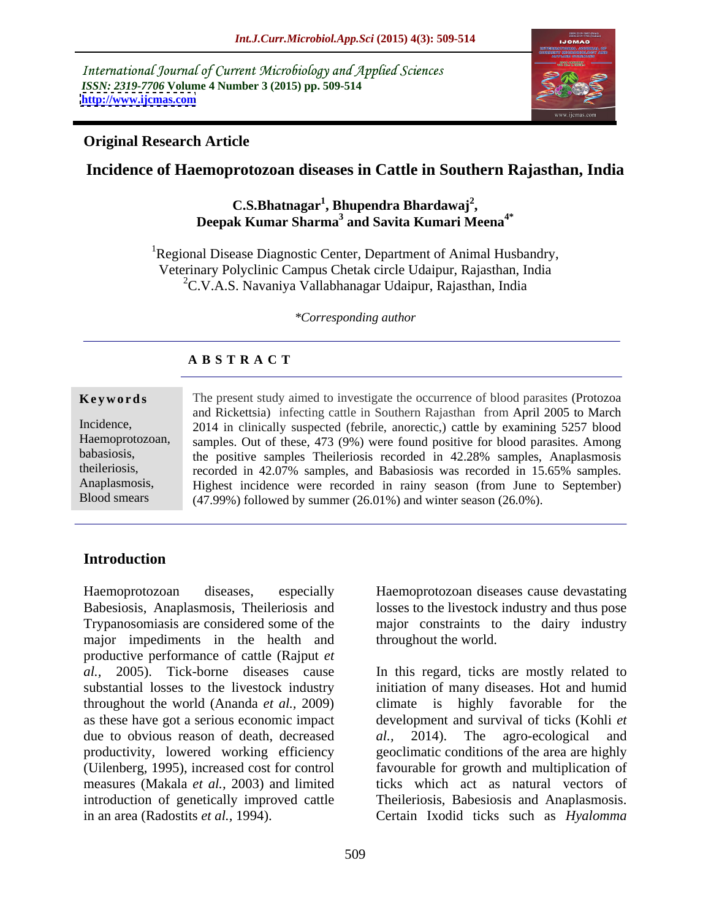International Journal of Current Microbiology and Applied Sciences *ISSN: 2319-7706* **Volume 4 Number 3 (2015) pp. 509-514** <u><http://www.ijcmas.com></u>



#### **Original Research Article**

## **Incidence of Haemoprotozoan diseases in Cattle in Southern Rajasthan, India**

### **C.S.Bhatnagar<sup>1</sup> , Bhupendra Bhardawaj<sup>2</sup> , Deepak Kumar Sharma3 and Savita Kumari Meena4\***

<sup>1</sup>Regional Disease Diagnostic Center, Department of Animal Husbandry, Veterinary Polyclinic Campus Chetak circle Udaipur, Rajasthan, India  ${}^{2}C$ .V.A.S. Navaniya Vallabhanagar Udaipur, Rajasthan, India

*\*Corresponding author*

#### **A B S T R A C T**

Blood smears

**Keywords** The present study aimed to investigate the occurrence of blood parasites (Protozoa and Rickettsia) infecting cattle in Southern Rajasthan from April 2005 to March Incidence, 2014 in clinically suspected (febrile, anorectic,) cattle by examining 5257 blood Haemoprotozoan, samples. Out of these, 473 (9%) were found positive for blood parasites. Among the positive samples Theileriosis recorded in 42.28% samples, Anaplasmosis babasiosis, the ileriosis, recorded in  $42.07\%$  samples, and Babasiosis was recorded in  $15.65\%$  samples. Highest incidence were recorded in rainy season (from June to September) Anaplasmosis, (47.99%) followed by summer (26.01%) and winter season (26.0%).

### **Introduction**

Haemoprotozoan diseases, especially Haemoprotozoan diseases cause devastating Babesiosis, Anaplasmosis, Theileriosis and losses to the livestock industry and thus pose Trypanosomiasis are considered some of the major constraints to the dairy industry major impediments in the health and productive performance of cattle (Rajput *et al.,* 2005). Tick-borne diseases cause throughout the world (Ananda *et al.,* 2009) as these have got a serious economic impact due to obvious reason of death, decreased al., 2014). The agro-ecological and

throughout the world.

substantial losses to the livestock industry initiation of many diseases. Hot and humid productivity, lowered working efficiency geoclimatic conditions of the area are highly (Uilenberg, 1995), increased cost for control favourable for growth and multiplication of measures (Makala *et al.,* 2003) and limited ticks which act as natural vectors of introduction of genetically improved cattle Theileriosis, Babesiosis and Anaplasmosis. in an area (Radostits *et al.,* 1994). Certain Ixodid ticks such as *Hyalomma*  In this regard, ticks are mostly related to climate is highly favorable for development and survival of ticks (Kohli *et al.,* 2014). The agro-ecological and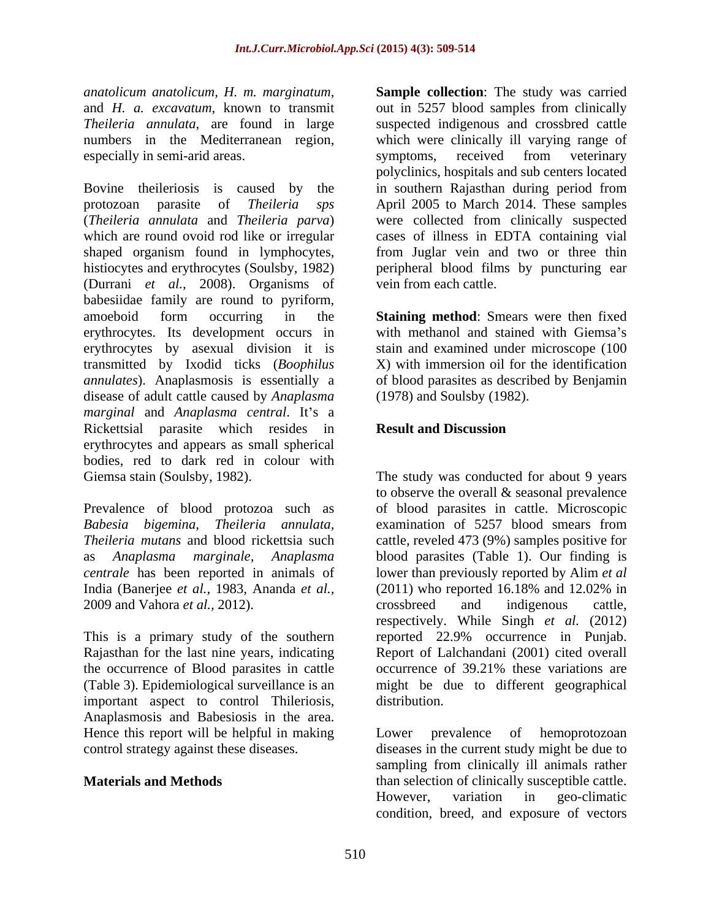especially in semi-arid areas. Symptoms, received from veterinary

Bovine theileriosis is caused by the in southern Rajasthan during period from protozoan parasite of *Theileria sps* April 2005 to March 2014. These samples (*Theileria annulata* and *Theileria parva*) were collected from clinically suspected which are round ovoid rod like or irregular shaped organism found in lymphocytes, histiocytes and erythrocytes (Soulsby, 1982) peripheral blood films by puncturing ear (Durrani *et al.,* 2008). Organisms of babesiidae family are round to pyriform, amoeboid form occurring in the **Staining method**: Smears were then fixed erythrocytes. Its development occurs in with methanol and stained with Giemsa's erythrocytes by asexual division it is transmitted by Ixodid ticks (*Boophilus annulates*). Anaplasmosis is essentially a disease of adult cattle caused by *Anaplasma marginal* and *Anaplasma central*. It's a Rickettsial parasite which resides in **Result and Discussion** erythrocytes and appears as small spherical bodies, red to dark red in colour with Giemsa stain (Soulsby, 1982). The study was conducted for about 9 years

*Babesia bigemina, Theileria annulata,* India (Banerjee *et al.,* 1983, Ananda *et al.,* 2009 and Vahora *et al.,* 2012).

This is a primary study of the southern important aspect to control Thileriosis, Anaplasmosis and Babesiosis in the area. Hence this report will be helpful in making<br>control strategy against these diseases.<br>diseases in the current study might be due to

*anatolicum anatolicum, H. m. marginatum,* **Sample collection**: The study was carried and *H. a. excavatum*, known to transmit out in 5257 blood samples from clinically *Theileria annulata*, are found in large suspected indigenous and crossbred cattle numbers in the Mediterranean region, which were clinically ill varying range of symptoms, received from veterinary polyclinics, hospitals and sub centers located cases of illness in EDTA containing vial from Juglar vein and two or three thin vein from each cattle.

> stain and examined under microscope (100 X) with immersion oil for the identification of blood parasites as described by Benjamin (1978) and Soulsby (1982).

#### **Result and Discussion**

Prevalence of blood protozoa such as of blood parasites in cattle. Microscopic *Theileria mutans* and blood rickettsia such cattle, reveled 473 (9%) samples positive for as *Anaplasma marginale, Anaplasma* blood parasites (Table 1). Our finding is *centrale* has been reported in animals of lower than previously reported by Alim *et al* Rajasthan for the last nine years, indicating Report of Lalchandani (2001) cited overall the occurrence of Blood parasites in cattle occurrence of 39.21% these variations are (Table 3). Epidemiological surveillance is an might be due to different geographical to observe the overall & seasonal prevalence examination of 5257 blood smears from (2011) who reported 16.18% and 12.02% in crossbreed and indigenous cattle, respectively. While Singh *et al.* (2012) reported 22.9% occurrence in Punjab. distribution.

control strategy against these diseases. diseases in the current study might be due to **Materials and Methods Example 20 has selection of clinically susceptible cattle.** Lower prevalence of hemoprotozoan sampling from clinically ill animals rather However, variation in geo-climatic condition, breed, and exposure of vectors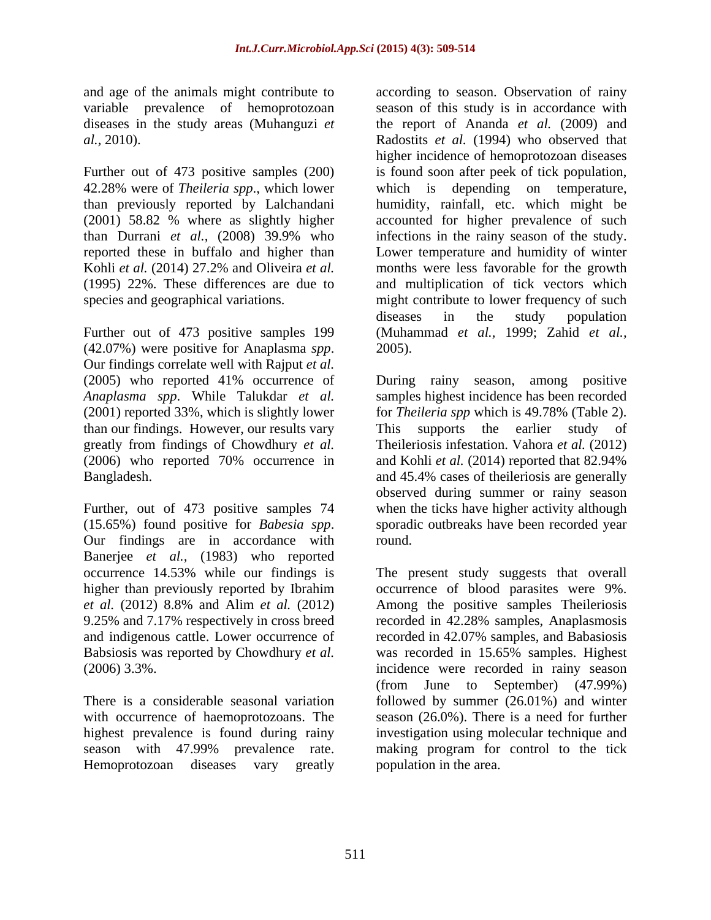Further out of 473 positive samples (200)

(42.07%) were positive for Anaplasma *spp*. 2005).<br>Our findings correlate well with Rajput *et al*. than our findings. However, our results vary This supports the earlier study of greatly from findings of Chowdhury *et al.*

Further, out of 473 positive samples 74 (15.65%) found positive for *Babesia spp*. sporadic outbreaks have been recorded year our findings are in accordance with round. Banerjee *et al.,* (1983) who reported Babsiosis was reported by Chowdhury *et al.* was recorded in 15.65% samples. Highest

Hemoprotozoan diseases vary greatly

and age of the animals might contribute to according to season. Observation of rainy variable prevalence of hemoprotozoan season of this study is in accordance with diseases in the study areas (Muhanguzi *et*  the report of Ananda *et al.* (2009) and *al.,* 2010). Radostits *et al.* (1994) who observed that 42.28% were of *Theileria spp*., which lower which is depending on temperature, than previously reported by Lalchandani humidity, rainfall, etc. which might be (2001) 58.82 % where as slightly higher accounted for higher prevalence of such than Durrani *et al.,* (2008) 39.9% who infections in the rainy season of the study. reported these in buffalo and higher than Lower temperature and humidity of winter Kohli *et al.* (2014) 27.2% and Oliveira *et al.* months were less favorable for the growth (1995) 22%. These differences are due to and multiplication of tick vectors which species and geographical variations. The might contribute to lower frequency of such Further out of 473 positive samples 199 (Muhammad *et al.,* 1999; Zahid *et al.,* higher incidence of hemoprotozoan diseases is found soon after peek of tick population, diseases in the study population 2005).

(2005) who reported 41% occurrence of During rainy season, among positive *Anaplasma spp*. While Talukdar *et al.* samples highest incidence has been recorded (2001) reported 33%, which is slightly lower for *Theileria spp* which is 49.78% (Table 2). (2006) who reported 70% occurrence in and Kohli *et al.* (2014) reported that 82.94% Bangladesh. and 45.4% cases of theileriosis are generally This supports the earlier study of Theileriosis infestation. Vahora *et al.* (2012) observed during summer or rainy season when the ticks have higher activity although sporadic outbreaks have been recorded year round.

occurrence 14.53% while our findings is The present study suggests that overall higher than previously reported by Ibrahim occurrence of blood parasites were 9%. *et al.* (2012) 8.8% and Alim *et al.* (2012) Among the positive samples Theileriosis 9.25% and 7.17% respectively in cross breed recorded in 42.28% samples, Anaplasmosis and indigenous cattle. Lower occurrence of recorded in 42.07% samples, and Babasiosis (2006) 3.3%. incidence were recorded in rainy season There is a considerable seasonal variation followed by summer (26.01%) and winter with occurrence of haemoprotozoans. The season (26.0%). There is a need for further highest prevalence is found during rainy investigation using molecular technique and season with 47.99% prevalence rate. making program for control to the tick was recorded in 15.65% samples. Highest (from June to September) (47.99%) population in the area.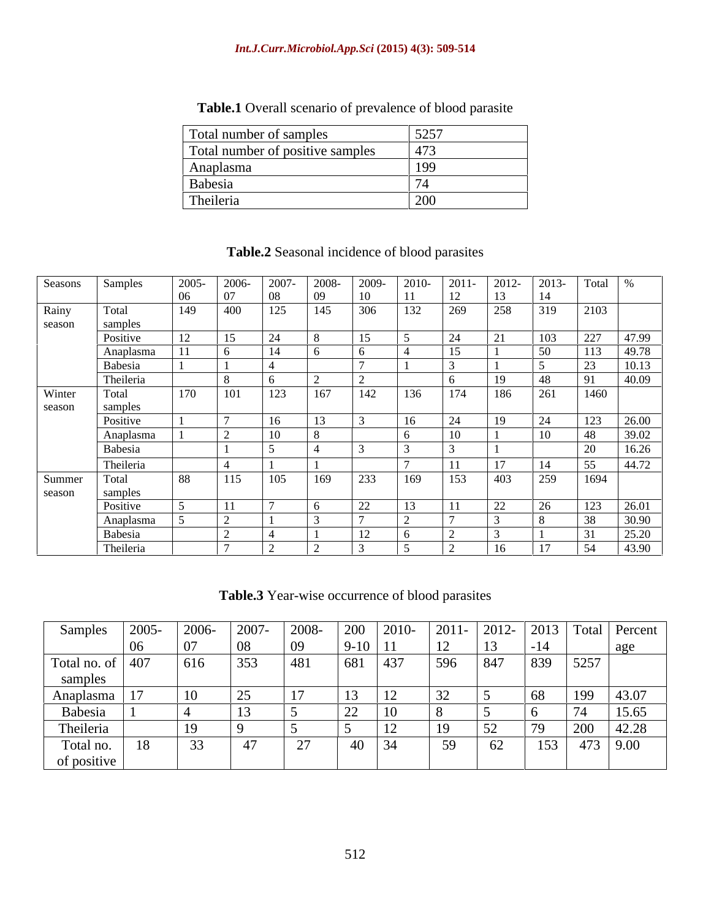| <b>Table.1</b> Overall scenario of prevalence of blood parasite |  |  |  |
|-----------------------------------------------------------------|--|--|--|
|                                                                 |  |  |  |

| Total number of samples          | 525 |
|----------------------------------|-----|
| Total number of positive samples | 473 |
| Anaplasma                        | 199 |
| Babesia                          |     |
| <sup>1</sup> Theileria           | 200 |

| Seasons Samples |           | 2005-                       |     |            | 2008-<br>2009- | $\sqrt{2010}$ | $2011 -$ | 2012            |     | Total %           |
|-----------------|-----------|-----------------------------|-----|------------|----------------|---------------|----------|-----------------|-----|-------------------|
|                 |           | <u>UN</u>                   |     |            |                |               |          |                 |     |                   |
|                 | Total     | 149                         | 400 | 125        | 145<br>306     | 132           | 269      | 258             | 319 | 2103              |
| Rainy           |           |                             |     |            |                |               |          |                 |     |                   |
| season          | samples   |                             |     |            |                |               |          |                 |     |                   |
|                 | Positive  |                             |     |            |                |               | 24       | $\bigcap$ 1     | 103 | 227 47.99         |
|                 | Anaplasma |                             |     |            |                |               |          |                 |     | 49.78             |
|                 | Babesia   |                             |     |            |                |               |          |                 |     | 10.13             |
|                 | Theileria |                             |     |            |                |               |          |                 |     | 40.09             |
| Winter          | Total     | $\boxed{170}$ $\boxed{101}$ |     | 123<br>167 |                | 142 136       | 174      | 186             | 261 | 1460              |
|                 |           |                             |     |            |                |               |          |                 |     |                   |
| season          | samples   |                             |     |            |                |               |          |                 |     |                   |
|                 | Positive  |                             |     |            |                |               |          | 1 <sub>0</sub>  |     | $123 \quad 26.00$ |
|                 | Anaplasma |                             |     |            |                |               |          |                 |     | $\frac{1}{39.02}$ |
|                 | Babesia   |                             |     |            |                |               |          |                 |     | 16.26             |
|                 | Theileria |                             |     |            |                |               |          |                 |     | 1.72              |
|                 |           |                             |     | 105        |                |               |          |                 |     |                   |
| Summer          | Total     | 88                          | 115 | 103        | $169$ 233      | 169           | 153      | 403             | 259 | 1694              |
| season          | samples   |                             |     |            |                |               |          |                 |     |                   |
|                 | Positive  |                             |     |            |                |               |          | $\cap$          |     | 26.01             |
|                 | Anaplasma |                             |     |            |                |               |          |                 |     | 30.90             |
|                 | Babesia   |                             |     |            |                |               |          |                 |     |                   |
|                 | Theileria |                             |     |            |                |               |          | 16 <sup>1</sup> |     | 4390              |
|                 |           |                             |     |            |                |               |          |                 |     |                   |

# **Table.2** Seasonal incidence of blood parasites

**Table.3** Year-wise occurrence of blood parasites

| Samples             | 2005- | 2006- | 2007 | 2008-         | 200                                | $12010-$                | $2011 -$      | 2012-       | 2013  |      | Total Percent |
|---------------------|-------|-------|------|---------------|------------------------------------|-------------------------|---------------|-------------|-------|------|---------------|
|                     | -06   | 07    | 08   | -09           | $9-10$   11                        |                         | 12            | 13          | $-14$ |      | age           |
| Total no. of $ 407$ |       | 616   | 353  | 481           |                                    | 437                     | 596           | $\vert 847$ | 839   | 5257 |               |
| samples             |       |       |      |               |                                    |                         |               |             |       |      |               |
| Anaplasma           |       | 10    | 25   | 17            | 13                                 | $1^{\wedge}$<br>$\perp$ | $\sim$<br>ے ر |             | 68    | 199  | 43.07         |
| Babesia             |       |       | -13  |               | $\cap$<br>$\overline{\phantom{a}}$ | ⊥∪                      |               |             |       | 14   | 15.65         |
| Theileria           |       | 19    |      |               |                                    | $\mathbf{L}$            | 19            | 5<<br>ے ر   | 79    | 200  | 42.28         |
| Total no.           | 18    | 33    |      | $\sim$<br>، ت | 4V                                 | 34                      | $50^{\circ}$  | 62          | 153   | 473  | 9.00          |
| of positive         |       |       |      |               |                                    |                         |               |             |       |      |               |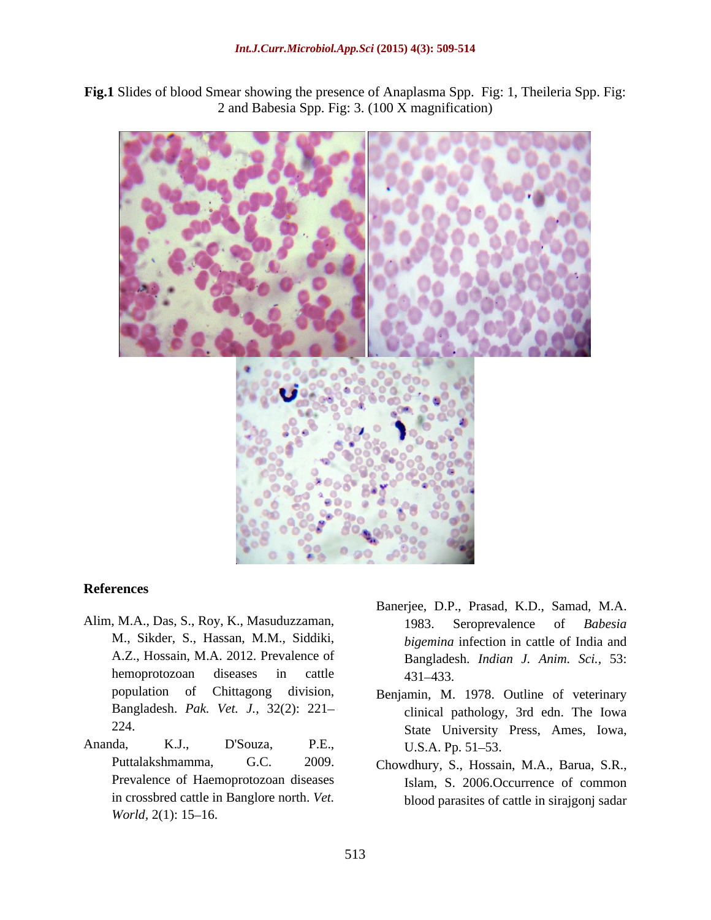**Fig.1** Slides of blood Smear showing the presence of Anaplasma Spp. Fig: 1, Theileria Spp. Fig: 2 and Babesia Spp. Fig: 3. (100 X magnification)



#### **References**

- M., Sikder, S., Hassan, M.M., Siddiki, A.Z., Hossain, M.A. 2012. Prevalence of population of Chittagong division, Benjamin, M. 1978. Outline of veterinary Bangladesh. *Pak. Vet. J.,* 32(2): 221
- Puttalakshmamma, G.C. 2009. Chowdhury, S., Hossain, M.A., Barua, S.R., Prevalence of Haemoprotozoan diseases in crossbred cattle in Banglore north. *Vet. World,* 2(1): 15–16.
- Alim, M.A., Das, S., Roy, K., Masuduzzaman, 1983. Seroprevalence of Babesia hemoprotozoan diseases in cattle 431–433. Banerjee, D.P., Prasad, K.D., Samad, M.A. 1983. Seroprevalence of *Babesia bigemina* infection in cattle of India and Bangladesh. *Indian J. Anim. Sci.,* 53: 431 433.
- 224. State University Press, Ames, Iowa, Ananda, K.J., D'Souza, P.E., clinical pathology, 3rd edn. The Iowa U.S.A. Pp. 51–53.
	- Islam, S. 2006.Occurrence of common blood parasites of cattle in sirajgonj sadar